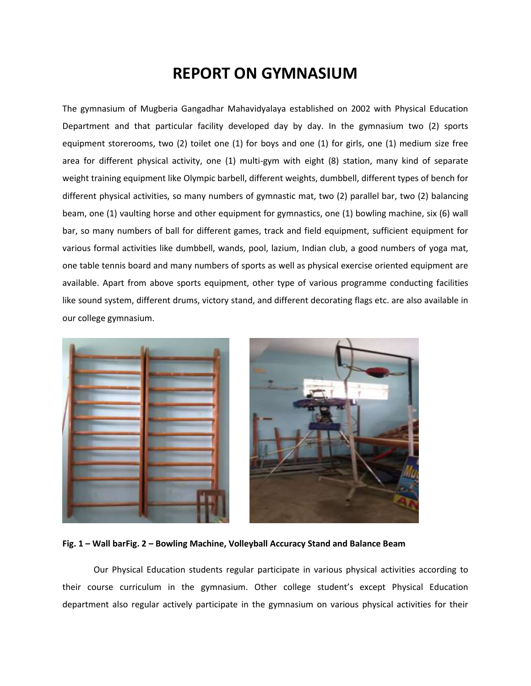## **REPORT ON GYMNASIUM**

The gymnasium of Mugberia Gangadhar Mahavidyalaya established on 2002 with Physical Education Department and that particular facility developed day by day. In the gymnasium two (2) sports equipment storerooms, two (2) toilet one (1) for boys and one (1) for girls, one (1) medium size free area for different physical activity, one (1) multi-gym with eight (8) station, many kind of separate weight training equipment like Olympic barbell, different weights, dumbbell, different types of bench for different physical activities, so many numbers of gymnastic mat, two (2) parallel bar, two (2) balancing beam, one (1) vaulting horse and other equipment for gymnastics, one (1) bowling machine, six (6) wall bar, so many numbers of ball for different games, track and field equipment, sufficient equipment for various formal activities like dumbbell, wands, pool, lazium, Indian club, a good numbers of yoga mat, one table tennis board and many numbers of sports as well as physical exercise oriented equipment are available. Apart from above sports equipment, other type of various programme conducting facilities like sound system, different drums, victory stand, and different decorating flags etc. are also available in our college gymnasium.



**Fig. 1 – Wall barFig. 2 – Bowling Machine, Volleyball Accuracy Stand and Balance Beam**

Our Physical Education students regular participate in various physical activities according to their course curriculum in the gymnasium. Other college student's except Physical Education department also regular actively participate in the gymnasium on various physical activities for their